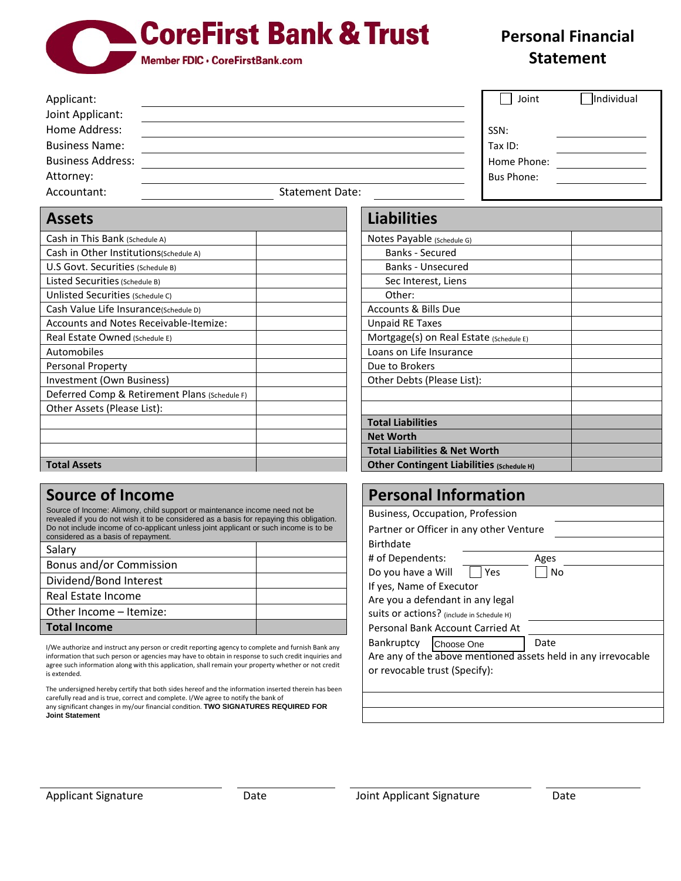## **CoreFirst Bank & Trust**

Member FDIC . CoreFirstBank.com

## **Personal Financial Statement**

|                                   |                        | Individual<br>Joint |
|-----------------------------------|------------------------|---------------------|
| Joint Applicant:<br>Home Address: |                        | SSN:                |
| <b>Business Name:</b>             |                        | Tax ID:             |
| <b>Business Address:</b>          |                        | Home Phone:         |
| Attorney:                         |                        | Bus Phone:          |
| Accountant:                       | <b>Statement Date:</b> |                     |

| <b>Assets</b>                                 | <b>Liabilities</b>                        |
|-----------------------------------------------|-------------------------------------------|
| Cash in This Bank (Schedule A)                | Notes Payable (Schedule G)                |
| Cash in Other Institutions(Schedule A)        | <b>Banks - Secured</b>                    |
| U.S Govt. Securities (Schedule B)             | Banks - Unsecured                         |
| Listed Securities (Schedule B)                | Sec Interest, Liens                       |
| Unlisted Securities (Schedule C)              | Other:                                    |
| Cash Value Life Insurance(Schedule D)         | <b>Accounts &amp; Bills Due</b>           |
| Accounts and Notes Receivable-Itemize:        | <b>Unpaid RE Taxes</b>                    |
| Real Estate Owned (Schedule E)                | Mortgage(s) on Real Estate (Schedule E)   |
| Automobiles                                   | Loans on Life Insurance                   |
| <b>Personal Property</b>                      | Due to Brokers                            |
| Investment (Own Business)                     | Other Debts (Please List):                |
| Deferred Comp & Retirement Plans (Schedule F) |                                           |
| Other Assets (Please List):                   |                                           |
|                                               | <b>Total Liabilities</b>                  |
|                                               | <b>Net Worth</b>                          |
|                                               | <b>Total Liabilities &amp; Net Worth</b>  |
| <b>Total Assets</b>                           | Other Contingent Liabilities (Schedule H) |

## **Source of Income**

Source of Income: Alimony, child support or maintenance income need not be revealed if you do not wish it to be considered as a basis for repaying this obligation. Do not include income of co-applicant unless joint applicant or such income is to be considered as a basis of repayment.

| Salary                  |  |
|-------------------------|--|
| Bonus and/or Commission |  |
| Dividend/Bond Interest  |  |
| Real Estate Income      |  |
| Other Income - Itemize: |  |
| <b>Total Income</b>     |  |

I/We authorize and instruct any person or credit reporting agency to complete and furnish Bank any information that such person or agencies may have to obtain in response to such credit inquiries and agree such information along with this application, shall remain your property whether or not credit is extended.

The undersigned hereby certify that both sides hereof and the information inserted therein has been carefully read and is true, correct and complete. I/We agree to notify the bank of any significant changes in my/our financial condition. **TWO SIGNATURES REQUIRED FOR Joint Statement**

| <b>Liabilities</b>         |
|----------------------------|
| Votes Payable (Schedule G) |
| <b>Banks - Secured</b>     |
| Banks - Unsecured          |
|                            |

| <b>Banks - Secured</b>                    |  |
|-------------------------------------------|--|
| Banks - Unsecured                         |  |
| Sec Interest, Liens                       |  |
| Other:                                    |  |
| Accounts & Bills Due                      |  |
| Unpaid RE Taxes                           |  |
| Mortgage(s) on Real Estate (Schedule E)   |  |
| Loans on Life Insurance                   |  |
| Due to Brokers                            |  |
| Other Debts (Please List):                |  |
|                                           |  |
|                                           |  |
| <b>Total Liabilities</b>                  |  |
| <b>Net Worth</b>                          |  |
| <b>Total Liabilities &amp; Net Worth</b>  |  |
| Other Contingent Liabilities (Schedule H) |  |

| <b>Personal Information</b>                                   |      |  |  |  |
|---------------------------------------------------------------|------|--|--|--|
| Business, Occupation, Profession                              |      |  |  |  |
| Partner or Officer in any other Venture                       |      |  |  |  |
| <b>Birthdate</b>                                              |      |  |  |  |
| # of Dependents:                                              | Ages |  |  |  |
| Do you have a Will<br>Yes                                     | Nο   |  |  |  |
| If yes, Name of Executor                                      |      |  |  |  |
| Are you a defendant in any legal                              |      |  |  |  |
| Suits or actions? (include in Schedule H)                     |      |  |  |  |
| Personal Bank Account Carried At                              |      |  |  |  |
| <b>Bankruptcy</b><br>Choose One                               | Date |  |  |  |
| Are any of the above mentioned assets held in any irrevocable |      |  |  |  |
| or revocable trust (Specify):                                 |      |  |  |  |
|                                                               |      |  |  |  |
|                                                               |      |  |  |  |